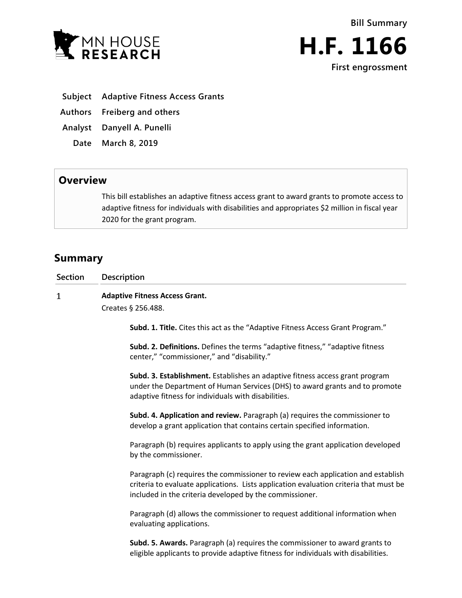



- **Subject Adaptive Fitness Access Grants**
- **Authors Freiberg and others**
- **Analyst Danyell A. Punelli**
- **Date March 8, 2019**

## **Overview**

This bill establishes an adaptive fitness access grant to award grants to promote access to adaptive fitness for individuals with disabilities and appropriates \$2 million in fiscal year 2020 for the grant program.

# **Summary**

**Section Description**

#### $\mathbf{1}$ **Adaptive Fitness Access Grant.**

Creates § 256.488.

**Subd. 1. Title.** Cites this act as the "Adaptive Fitness Access Grant Program."

**Subd. 2. Definitions.** Defines the terms "adaptive fitness," "adaptive fitness center," "commissioner," and "disability."

**Subd. 3. Establishment.** Establishes an adaptive fitness access grant program under the Department of Human Services (DHS) to award grants and to promote adaptive fitness for individuals with disabilities.

**Subd. 4. Application and review.** Paragraph (a) requires the commissioner to develop a grant application that contains certain specified information.

Paragraph (b) requires applicants to apply using the grant application developed by the commissioner.

Paragraph (c) requires the commissioner to review each application and establish criteria to evaluate applications. Lists application evaluation criteria that must be included in the criteria developed by the commissioner.

Paragraph (d) allows the commissioner to request additional information when evaluating applications.

**Subd. 5. Awards.** Paragraph (a) requires the commissioner to award grants to eligible applicants to provide adaptive fitness for individuals with disabilities.